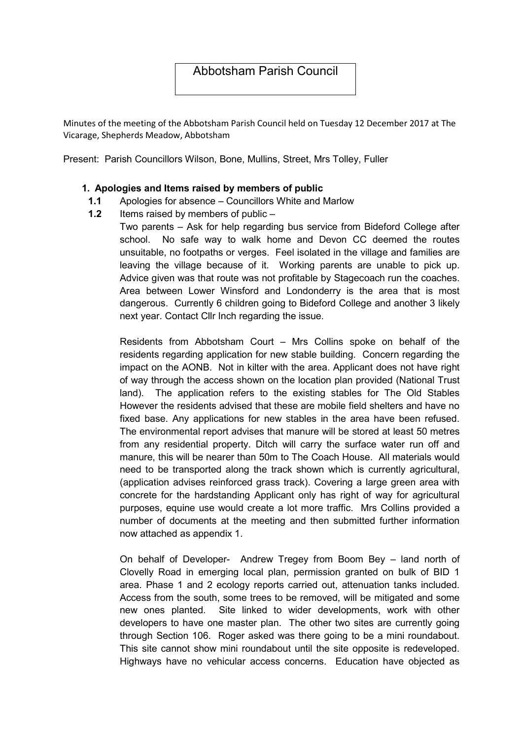# Abbotsham Parish Council

Minutes of the meeting of the Abbotsham Parish Council held on Tuesday 12 December 2017 at The Vicarage, Shepherds Meadow, Abbotsham

Present: Parish Councillors Wilson, Bone, Mullins, Street, Mrs Tolley, Fuller

#### 1. Apologies and Items raised by members of public

- 1.1 Apologies for absence Councillors White and Marlow
- 1.2 Items raised by members of public  $-$

Two parents – Ask for help regarding bus service from Bideford College after school. No safe way to walk home and Devon CC deemed the routes unsuitable, no footpaths or verges. Feel isolated in the village and families are leaving the village because of it. Working parents are unable to pick up. Advice given was that route was not profitable by Stagecoach run the coaches. Area between Lower Winsford and Londonderry is the area that is most dangerous. Currently 6 children going to Bideford College and another 3 likely next year. Contact Cllr Inch regarding the issue.

Residents from Abbotsham Court – Mrs Collins spoke on behalf of the residents regarding application for new stable building. Concern regarding the impact on the AONB. Not in kilter with the area. Applicant does not have right of way through the access shown on the location plan provided (National Trust land). The application refers to the existing stables for The Old Stables However the residents advised that these are mobile field shelters and have no fixed base. Any applications for new stables in the area have been refused. The environmental report advises that manure will be stored at least 50 metres from any residential property. Ditch will carry the surface water run off and manure, this will be nearer than 50m to The Coach House. All materials would need to be transported along the track shown which is currently agricultural, (application advises reinforced grass track). Covering a large green area with concrete for the hardstanding Applicant only has right of way for agricultural purposes, equine use would create a lot more traffic. Mrs Collins provided a number of documents at the meeting and then submitted further information now attached as appendix 1.

On behalf of Developer- Andrew Tregey from Boom Bey – land north of Clovelly Road in emerging local plan, permission granted on bulk of BID 1 area. Phase 1 and 2 ecology reports carried out, attenuation tanks included. Access from the south, some trees to be removed, will be mitigated and some new ones planted. Site linked to wider developments, work with other developers to have one master plan. The other two sites are currently going through Section 106. Roger asked was there going to be a mini roundabout. This site cannot show mini roundabout until the site opposite is redeveloped. Highways have no vehicular access concerns. Education have objected as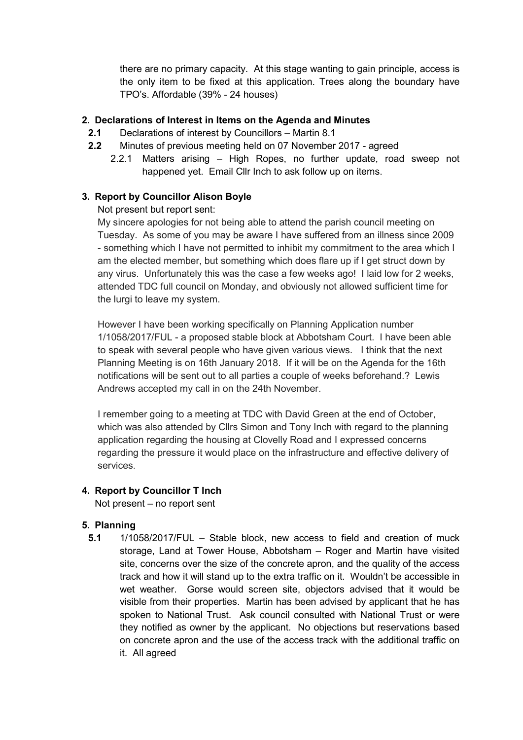there are no primary capacity. At this stage wanting to gain principle, access is the only item to be fixed at this application. Trees along the boundary have TPO's. Affordable (39% - 24 houses)

### 2. Declarations of Interest in Items on the Agenda and Minutes

- 2.1 Declarations of interest by Councillors Martin 8.1
- 2.2 Minutes of previous meeting held on 07 November 2017 agreed
	- 2.2.1 Matters arising High Ropes, no further update, road sweep not happened yet. Email Cllr Inch to ask follow up on items.

### 3. Report by Councillor Alison Boyle

Not present but report sent:

My sincere apologies for not being able to attend the parish council meeting on Tuesday. As some of you may be aware I have suffered from an illness since 2009 - something which I have not permitted to inhibit my commitment to the area which I am the elected member, but something which does flare up if I get struct down by any virus. Unfortunately this was the case a few weeks ago! I laid low for 2 weeks, attended TDC full council on Monday, and obviously not allowed sufficient time for the lurgi to leave my system.

However I have been working specifically on Planning Application number 1/1058/2017/FUL - a proposed stable block at Abbotsham Court. I have been able to speak with several people who have given various views. I think that the next Planning Meeting is on 16th January 2018. If it will be on the Agenda for the 16th notifications will be sent out to all parties a couple of weeks beforehand.? Lewis Andrews accepted my call in on the 24th November.

I remember going to a meeting at TDC with David Green at the end of October, which was also attended by Cllrs Simon and Tony Inch with regard to the planning application regarding the housing at Clovelly Road and I expressed concerns regarding the pressure it would place on the infrastructure and effective delivery of services.

### 4. Report by Councillor T Inch

Not present – no report sent

### 5. Planning

5.1 1/1058/2017/FUL – Stable block, new access to field and creation of muck storage, Land at Tower House, Abbotsham – Roger and Martin have visited site, concerns over the size of the concrete apron, and the quality of the access track and how it will stand up to the extra traffic on it. Wouldn't be accessible in wet weather. Gorse would screen site, objectors advised that it would be visible from their properties. Martin has been advised by applicant that he has spoken to National Trust. Ask council consulted with National Trust or were they notified as owner by the applicant. No objections but reservations based on concrete apron and the use of the access track with the additional traffic on it. All agreed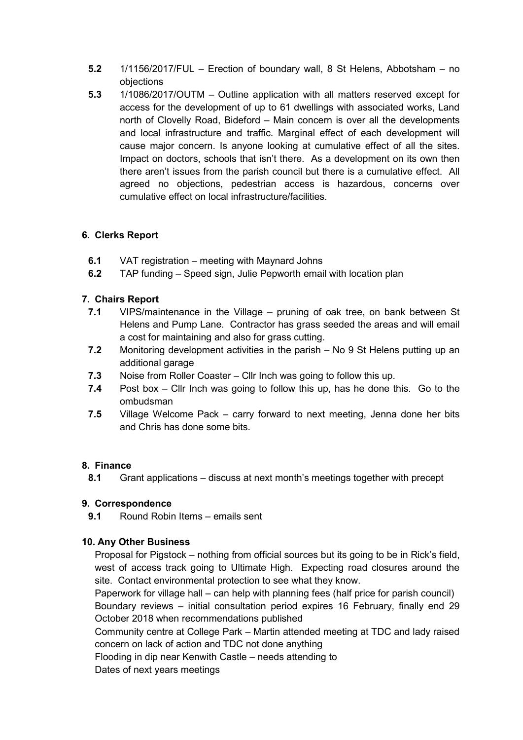- 5.2 1/1156/2017/FUL Erection of boundary wall, 8 St Helens, Abbotsham no objections
- 5.3 1/1086/2017/OUTM Outline application with all matters reserved except for access for the development of up to 61 dwellings with associated works, Land north of Clovelly Road, Bideford – Main concern is over all the developments and local infrastructure and traffic. Marginal effect of each development will cause major concern. Is anyone looking at cumulative effect of all the sites. Impact on doctors, schools that isn't there. As a development on its own then there aren't issues from the parish council but there is a cumulative effect. All agreed no objections, pedestrian access is hazardous, concerns over cumulative effect on local infrastructure/facilities.

### 6. Clerks Report

- 6.1 VAT registration meeting with Maynard Johns
- 6.2 TAP funding Speed sign, Julie Pepworth email with location plan

### 7. Chairs Report

- 7.1 VIPS/maintenance in the Village pruning of oak tree, on bank between St Helens and Pump Lane. Contractor has grass seeded the areas and will email a cost for maintaining and also for grass cutting.
- 7.2 Monitoring development activities in the parish No 9 St Helens putting up an additional garage
- 7.3 Noise from Roller Coaster Cllr Inch was going to follow this up.
- 7.4 Post box Cllr Inch was going to follow this up, has he done this. Go to the ombudsman
- 7.5 Village Welcome Pack carry forward to next meeting, Jenna done her bits and Chris has done some bits.

### 8. Finance

8.1 Grant applications – discuss at next month's meetings together with precept

### 9. Correspondence

9.1 Round Robin Items – emails sent

### 10. Any Other Business

Proposal for Pigstock – nothing from official sources but its going to be in Rick's field, west of access track going to Ultimate High. Expecting road closures around the site. Contact environmental protection to see what they know.

Paperwork for village hall – can help with planning fees (half price for parish council) Boundary reviews – initial consultation period expires 16 February, finally end 29 October 2018 when recommendations published

Community centre at College Park – Martin attended meeting at TDC and lady raised concern on lack of action and TDC not done anything

Flooding in dip near Kenwith Castle – needs attending to

Dates of next years meetings